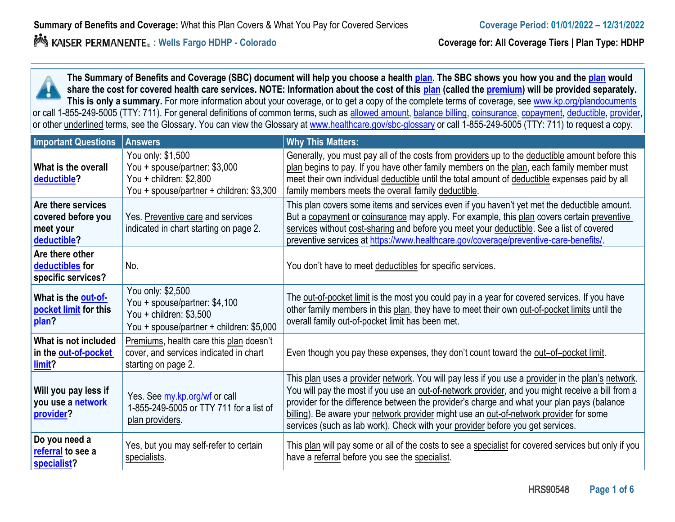**The Summary of Benefits and Coverage (SBC) document will help you choose a health plan. The SBC shows you how you and the plan would share the cost for covered health care services. NOTE: Information about the cost of this plan (called the premium) will be provided separately. This is only a summary.** For more information about your coverage, or to get a copy of the complete terms of coverage, see www.kp.org/plandocuments or call 1-855-249-5005 (TTY: 711). For general definitions of common terms, such as allowed amount, balance billing, coinsurance, copayment, deductible, provider, provider, or other underlined terms, see the Glossary. You can view the Glossary at www.healthcare.gov/sbc-glossary or call 1-855-249-5005 (TTY: 711) to request a copy.

| <b>Important Questions</b>                                           | <b>Answers</b>                                                                                                             | <b>Why This Matters:</b>                                                                                                                                                                                                                                                                                                                                                                                                                                                        |
|----------------------------------------------------------------------|----------------------------------------------------------------------------------------------------------------------------|---------------------------------------------------------------------------------------------------------------------------------------------------------------------------------------------------------------------------------------------------------------------------------------------------------------------------------------------------------------------------------------------------------------------------------------------------------------------------------|
| What is the overall<br>deductible?                                   | You only: \$1,500<br>You + spouse/partner: \$3,000<br>You + children: \$2,800<br>You + spouse/partner + children: \$3,300  | Generally, you must pay all of the costs from providers up to the deductible amount before this<br>plan begins to pay. If you have other family members on the plan, each family member must<br>meet their own individual deductible until the total amount of deductible expenses paid by all<br>family members meets the overall family deductible.                                                                                                                           |
| Are there services<br>covered before you<br>meet your<br>deductible? | Yes. Preventive care and services<br>indicated in chart starting on page 2.                                                | This plan covers some items and services even if you haven't yet met the deductible amount.<br>But a copayment or coinsurance may apply. For example, this plan covers certain preventive<br>services without cost-sharing and before you meet your deductible. See a list of covered<br>preventive services at https://www.healthcare.gov/coverage/preventive-care-benefits/                                                                                                   |
| Are there other<br>deductibles for<br>specific services?             | No.                                                                                                                        | You don't have to meet deductibles for specific services.                                                                                                                                                                                                                                                                                                                                                                                                                       |
| What is the out-of-<br>pocket limit for this<br>plan?                | You only: \$2,500<br>You + spouse/partner: \$4,100<br>You + children: $$3,500$<br>You + spouse/partner + children: \$5,000 | The out-of-pocket limit is the most you could pay in a year for covered services. If you have<br>other family members in this plan, they have to meet their own out-of-pocket limits until the<br>overall family out-of-pocket limit has been met.                                                                                                                                                                                                                              |
| What is not included<br>in the out-of-pocket<br>limit?               | Premiums, health care this plan doesn't<br>cover, and services indicated in chart<br>starting on page 2.                   | Even though you pay these expenses, they don't count toward the out-of-pocket limit.                                                                                                                                                                                                                                                                                                                                                                                            |
| Will you pay less if<br>you use a network<br>provider?               | Yes. See my.kp.org/wf or call<br>1-855-249-5005 or TTY 711 for a list of<br>plan providers.                                | This plan uses a provider network. You will pay less if you use a provider in the plan's network.<br>You will pay the most if you use an out-of-network provider, and you might receive a bill from a<br>provider for the difference between the provider's charge and what your plan pays (balance<br>billing). Be aware your network provider might use an out-of-network provider for some<br>services (such as lab work). Check with your provider before you get services. |
| Do you need a<br>referral to see a<br>specialist?                    | Yes, but you may self-refer to certain<br>specialists.                                                                     | This plan will pay some or all of the costs to see a specialist for covered services but only if you<br>have a referral before you see the specialist.                                                                                                                                                                                                                                                                                                                          |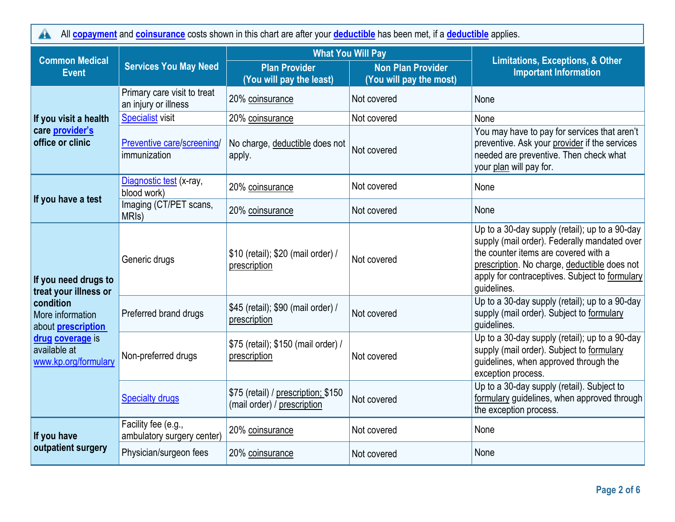All **copayment** and **coinsurance** costs shown in this chart are after your **deductible** has been met, if a **deductible** applies.  $\blacktriangle$ 

| <b>Common Medical</b>                                                                                                                                                   |                                                     | <b>What You Will Pay</b>                                           |                                                     | <b>Limitations, Exceptions, &amp; Other</b>                                                                                                                                                                                                             |  |
|-------------------------------------------------------------------------------------------------------------------------------------------------------------------------|-----------------------------------------------------|--------------------------------------------------------------------|-----------------------------------------------------|---------------------------------------------------------------------------------------------------------------------------------------------------------------------------------------------------------------------------------------------------------|--|
| <b>Event</b>                                                                                                                                                            | <b>Services You May Need</b>                        | <b>Plan Provider</b><br>(You will pay the least)                   | <b>Non Plan Provider</b><br>(You will pay the most) | <b>Important Information</b>                                                                                                                                                                                                                            |  |
|                                                                                                                                                                         | Primary care visit to treat<br>an injury or illness | 20% coinsurance                                                    | Not covered                                         | None                                                                                                                                                                                                                                                    |  |
| If you visit a health                                                                                                                                                   | <b>Specialist visit</b>                             | 20% coinsurance                                                    | Not covered                                         | None                                                                                                                                                                                                                                                    |  |
| care provider's<br>office or clinic                                                                                                                                     | Preventive care/screening/<br>immunization          | No charge, deductible does not<br>apply.                           | Not covered                                         | You may have to pay for services that aren't<br>preventive. Ask your provider if the services<br>needed are preventive. Then check what<br>your plan will pay for.                                                                                      |  |
|                                                                                                                                                                         | Diagnostic test (x-ray,<br>blood work)              | 20% coinsurance                                                    | Not covered                                         | None                                                                                                                                                                                                                                                    |  |
| If you have a test                                                                                                                                                      | Imaging (CT/PET scans,<br>MRI <sub>s</sub> )        | 20% coinsurance                                                    | Not covered                                         | None                                                                                                                                                                                                                                                    |  |
| If you need drugs to<br>treat your illness or<br>condition<br>More information<br>about <b>prescription</b><br>drug coverage is<br>available at<br>www.kp.org/formulary | Generic drugs                                       | \$10 (retail); \$20 (mail order) /<br>prescription                 | Not covered                                         | Up to a 30-day supply (retail); up to a 90-day<br>supply (mail order). Federally mandated over<br>the counter items are covered with a<br>prescription. No charge, deductible does not<br>apply for contraceptives. Subject to formulary<br>guidelines. |  |
|                                                                                                                                                                         | Preferred brand drugs                               | \$45 (retail); \$90 (mail order) /<br>prescription                 | Not covered                                         | Up to a 30-day supply (retail); up to a 90-day<br>supply (mail order). Subject to formulary<br>guidelines.                                                                                                                                              |  |
|                                                                                                                                                                         | Non-preferred drugs                                 | \$75 (retail); \$150 (mail order) /<br>prescription                | Not covered                                         | Up to a 30-day supply (retail); up to a 90-day<br>supply (mail order). Subject to formulary<br>guidelines, when approved through the<br>exception process.                                                                                              |  |
|                                                                                                                                                                         | <b>Specialty drugs</b>                              | \$75 (retail) / prescription; \$150<br>(mail order) / prescription | Not covered                                         | Up to a 30-day supply (retail). Subject to<br>formulary guidelines, when approved through<br>the exception process.                                                                                                                                     |  |
| If you have                                                                                                                                                             | Facility fee (e.g.,<br>ambulatory surgery center)   | 20% coinsurance                                                    | Not covered                                         | None                                                                                                                                                                                                                                                    |  |
| outpatient surgery                                                                                                                                                      | Physician/surgeon fees                              | 20% coinsurance                                                    | Not covered                                         | None                                                                                                                                                                                                                                                    |  |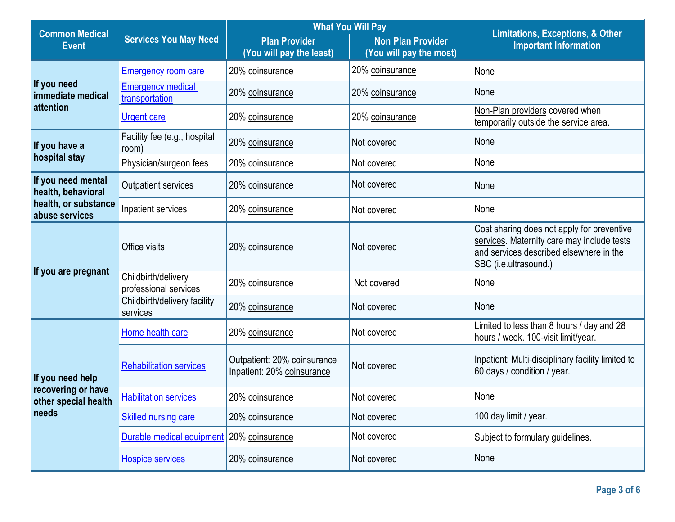| <b>Common Medical</b>                                                   |                                              | <b>What You Will Pay</b>                                  |                                                     | <b>Limitations, Exceptions, &amp; Other</b>                                                                                                                  |  |
|-------------------------------------------------------------------------|----------------------------------------------|-----------------------------------------------------------|-----------------------------------------------------|--------------------------------------------------------------------------------------------------------------------------------------------------------------|--|
| <b>Event</b>                                                            | <b>Services You May Need</b>                 | <b>Plan Provider</b><br>(You will pay the least)          | <b>Non Plan Provider</b><br>(You will pay the most) | <b>Important Information</b>                                                                                                                                 |  |
|                                                                         | <b>Emergency room care</b>                   | 20% coinsurance                                           | 20% coinsurance                                     | None                                                                                                                                                         |  |
| If you need<br>immediate medical                                        | <b>Emergency medical</b><br>transportation   | 20% coinsurance                                           | 20% coinsurance                                     | None                                                                                                                                                         |  |
| attention                                                               | <b>Urgent care</b>                           | 20% coinsurance                                           | 20% coinsurance                                     | Non-Plan providers covered when<br>temporarily outside the service area.                                                                                     |  |
| If you have a                                                           | Facility fee (e.g., hospital<br>room)        | 20% coinsurance                                           | Not covered                                         | None                                                                                                                                                         |  |
| hospital stay                                                           | Physician/surgeon fees                       | 20% coinsurance                                           | Not covered                                         | None                                                                                                                                                         |  |
| If you need mental<br>health, behavioral                                | <b>Outpatient services</b>                   | 20% coinsurance                                           | Not covered                                         | None                                                                                                                                                         |  |
| health, or substance<br>abuse services                                  | Inpatient services                           | 20% coinsurance                                           | Not covered                                         | None                                                                                                                                                         |  |
|                                                                         | Office visits                                | 20% coinsurance                                           | Not covered                                         | Cost sharing does not apply for preventive<br>services. Maternity care may include tests<br>and services described elsewhere in the<br>SBC (i.e.ultrasound.) |  |
| If you are pregnant                                                     | Childbirth/delivery<br>professional services | 20% coinsurance                                           | Not covered                                         | None                                                                                                                                                         |  |
|                                                                         | Childbirth/delivery facility<br>services     | 20% coinsurance                                           | Not covered                                         | None                                                                                                                                                         |  |
|                                                                         | Home health care                             | 20% coinsurance                                           | Not covered                                         | Limited to less than 8 hours / day and 28<br>hours / week. 100-visit limit/year.                                                                             |  |
| If you need help<br>recovering or have<br>other special health<br>needs | <b>Rehabilitation services</b>               | Outpatient: 20% coinsurance<br>Inpatient: 20% coinsurance | Not covered                                         | Inpatient: Multi-disciplinary facility limited to<br>60 days / condition / year.                                                                             |  |
|                                                                         | <b>Habilitation services</b>                 | 20% coinsurance                                           | Not covered                                         | None                                                                                                                                                         |  |
|                                                                         | Skilled nursing care                         | 20% coinsurance                                           | Not covered                                         | 100 day limit / year.                                                                                                                                        |  |
|                                                                         | Durable medical equipment                    | 20% coinsurance                                           | Not covered                                         | Subject to formulary guidelines.                                                                                                                             |  |
|                                                                         | <b>Hospice services</b>                      | 20% coinsurance                                           | Not covered                                         | None                                                                                                                                                         |  |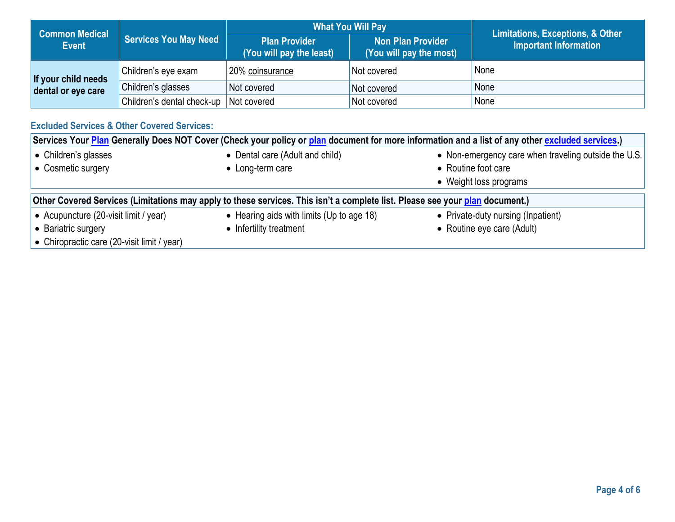|                                       |                              | <b>What You Will Pay</b>                         |                                                     | <b>Limitations, Exceptions, &amp; Other</b> |
|---------------------------------------|------------------------------|--------------------------------------------------|-----------------------------------------------------|---------------------------------------------|
| <b>Common Medical</b><br><b>Event</b> | <b>Services You May Need</b> | <b>Plan Provider</b><br>(You will pay the least) | <b>Non Plan Provider</b><br>(You will pay the most) | <b>Important Information</b>                |
| If your child needs                   | Children's eye exam          | 20% coinsurance                                  | Not covered                                         | None                                        |
| dental or eye care                    | Children's glasses           | Not covered                                      | Not covered                                         | None                                        |
|                                       | Children's dental check-up   | Not covered                                      | Not covered                                         | None                                        |

# **Excluded Services & Other Covered Services:**

| Services Your Plan Generally Does NOT Cover (Check your policy or plan document for more information and a list of any other excluded services.) |                                 |                                                      |  |  |
|--------------------------------------------------------------------------------------------------------------------------------------------------|---------------------------------|------------------------------------------------------|--|--|
| • Children's glasses                                                                                                                             | • Dental care (Adult and child) | • Non-emergency care when traveling outside the U.S. |  |  |
| • Cosmetic surgery                                                                                                                               | • Long-term care                | • Routine foot care                                  |  |  |
|                                                                                                                                                  |                                 | • Weight loss programs                               |  |  |
| Other Covered Services (Limitations may apply to these services. This isn't a complete list. Please see your plan document.)                     |                                 |                                                      |  |  |
| • Acupuncture (20-visit limit / year)<br>• Hearing aids with limits (Up to age 18)<br>• Private-duty nursing (Inpatient)                         |                                 |                                                      |  |  |
| • Bariatric surgery                                                                                                                              | • Infertility treatment         | • Routine eye care (Adult)                           |  |  |
| • Chiropractic care (20-visit limit / year)                                                                                                      |                                 |                                                      |  |  |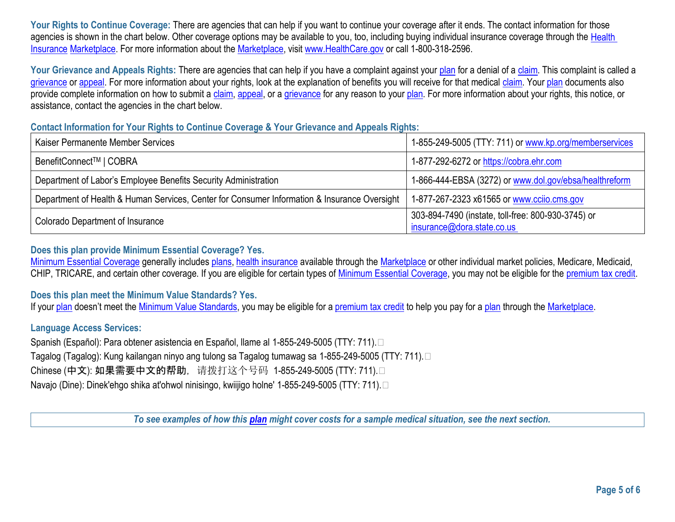Your Rights to Continue Coverage: There are agencies that can help if you want to continue your coverage after it ends. The contact information for those agencies is shown in the chart below. Other coverage options may be available to you, too, including buying individual insurance coverage through the Health Insurance Marketplace. For more information about the Marketplace, visit www.HealthCare.gov or call 1-800-318-2596.

Your Grievance and Appeals Rights: There are agencies that can help if you have a complaint against your plan for a denial of a claim. This complaint is called a grievance or appeal. For more information about your rights, look at the explanation of benefits you will receive for that medical claim. Your plan documents also provide complete information on how to submit a claim, appeal, or a grievance for any reason to your plan. For more information about your rights, this notice, or assistance, contact the agencies in the chart below.

#### **Contact Information for Your Rights to Continue Coverage & Your Grievance and Appeals Rights:**

| Kaiser Permanente Member Services                                                            | 1-855-249-5005 (TTY: 711) or www.kp.org/memberservices                           |
|----------------------------------------------------------------------------------------------|----------------------------------------------------------------------------------|
| BenefitConnect <sup>™</sup>   COBRA                                                          | 1-877-292-6272 or https://cobra.ehr.com                                          |
| Department of Labor's Employee Benefits Security Administration                              | 1-866-444-EBSA (3272) or www.dol.gov/ebsa/healthreform                           |
| Department of Health & Human Services, Center for Consumer Information & Insurance Oversight | 1-877-267-2323 x61565 or www.ccijo.cms.gov                                       |
| Colorado Department of Insurance                                                             | 303-894-7490 (instate, toll-free: 800-930-3745) or<br>insurance@dora.state.co.us |

### **Does this plan provide Minimum Essential Coverage? Yes.**

Minimum Essential Coverage generally includes plans, health insurance available through the Marketplace or other individual market policies, Medicare, Medicaid, CHIP, TRICARE, and certain other coverage. If you are eligible for certain types of Minimum Essential Coverage, you may not be eligible for the premium tax credit.

#### **Does this plan meet the Minimum Value Standards? Yes.**

If your <u>plan</u> doesn't meet the <u>Minimum Value Standards</u>, you may be eligible for a <u>premium tax credit</u> to help you pay for a <u>plan</u> through the <u>Marketplace</u>.

### **Language Access Services:**

Spanish (Español): Para obtener asistencia en Español, llame al 1-855-249-5005 (TTY: 711). Tagalog (Tagalog): Kung kailangan ninyo ang tulong sa Tagalog tumawag sa 1-855-249-5005 (TTY: 711). Chinese (中文): 如果需要中文的帮助, 请拨打这个号码 1-855-249-5005 (TTY: 711). Navajo (Dine): Dinek'ehgo shika at'ohwol ninisingo, kwiijigo holne' 1-855-249-5005 (TTY: 711).

*To see examples of how this plan might cover costs for a sample medical situation, see the next section.*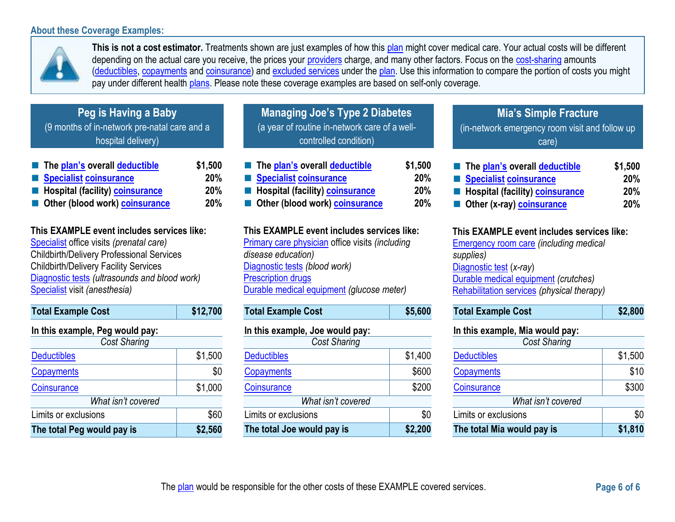### **About these Coverage Examples:**



depending on the actual care you receive, the prices your **providers** charge, and many other factors. Focus on the **cost-sharing** amounts **This is not a cost estimator.** Treatments shown are just examples of how this plan might cover medical care. Your actual costs will be different (deductibles, copayments and coinsurance) and excluded services under the plan. Use this information to compare the portion of costs you might pay under different health plans. Please note these coverage examples are based on self-only coverage.

| Peg is Having a Baby                         |
|----------------------------------------------|
| (9 months of in-network pre-natal care and a |
| hospital delivery)                           |

| The plan's overall deductible    | \$1,500    |
|----------------------------------|------------|
| Specialist coinsurance           | 20%        |
| Hospital (facility) coinsurance  | 20%        |
| ■ Other (blood work) coinsurance | <b>20%</b> |

# **This EXAMPLE event includes services like:**

Specialist office visits *(prenatal care)*  Childbirth/Delivery Professional Services Childbirth/Delivery Facility Services Diagnostic tests *(ultrasounds and blood work)*  Specialist visit *(anesthesia)* 

| <b>Total Example Cost</b>       | \$12,700 |
|---------------------------------|----------|
| In this example, Peg would pay: |          |
| <b>Cost Sharing</b>             |          |
| <b>Deductibles</b>              | \$1,500  |
| Copayments                      | \$0      |
| Coinsurance                     | \$1,000  |
| What isn't covered              |          |
| Limits or exclusions            | \$60     |
| The total Peg would pay is      | \$2,560  |

| <b>Managing Joe's Type 2 Diabetes</b>         |
|-----------------------------------------------|
| (a year of routine in-network care of a well- |
| controlled condition)                         |
|                                               |

| The plan's overall deductible   | \$1,500    |
|---------------------------------|------------|
| Specialist coinsurance          | <b>20%</b> |
| Hospital (facility) coinsurance | <b>20%</b> |
| Other (blood work) coinsurance  | <b>20%</b> |
|                                 |            |

#### **This EXAMPLE event includes services like:**

Primary care physician office visits *(including disease education)* Diagnostic tests *(blood work)* Prescription drugs Durable medical equipment *(glucose meter)*

| <b>Total Example Cost</b>       | \$5,600 |
|---------------------------------|---------|
| In this example, Joe would pay: |         |
| <b>Cost Sharing</b>             |         |
| <b>Deductibles</b>              | \$1,400 |
| Copayments                      | \$600   |
| Coinsurance                     | \$200   |
| What isn't covered              |         |
| Limits or exclusions            | \$0     |
| The total Joe would pay is      | \$2,200 |

# - (in-network emergency room visit and follow up **Mia's Simple Fracture** care)

| <b>The plan's overall deductible</b>            | \$1,500    |
|-------------------------------------------------|------------|
| Specialist coinsurance                          | <b>20%</b> |
| <b>E</b> Hospital (facility) <b>coinsurance</b> | 20%        |
| Other (x-ray) coinsurance                       | 20%        |

#### **This EXAMPLE event includes services like:**

Emergency room care *(including medical supplies)* Diagnostic test (*x-ray*) Durable medical equipment *(crutches)* Rehabilitation services *(physical therapy)*

| <b>Total Example Cost</b>       | \$2,800 |  |  |  |
|---------------------------------|---------|--|--|--|
| In this example, Mia would pay: |         |  |  |  |
| <b>Cost Sharing</b>             |         |  |  |  |
| <b>Deductibles</b>              | \$1,500 |  |  |  |
| <b>Copayments</b>               | \$10    |  |  |  |
| <b>Coinsurance</b>              | \$300   |  |  |  |
| What isn't covered              |         |  |  |  |
| Limits or exclusions            | \$0     |  |  |  |
| The total Mia would pay is      | \$1,810 |  |  |  |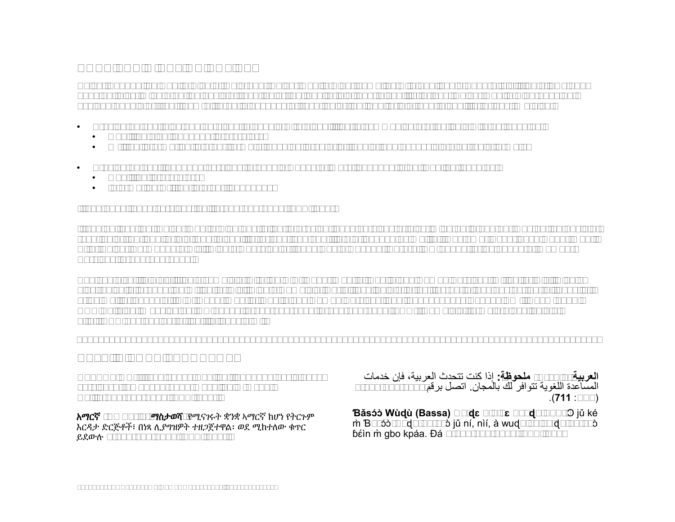# **NONDISCRIMINATION NOTICE**

 Kaiser Foundation Health Plan of Colorado (Kaiser Health Plan) complies with applicable Federal civil rights laws and does not discriminate on the basis of race, color, national origin, age, disability, or sex. Kaiser Health Plan does not exclude people or treat them differently because of race, color, national origin, age, disability, or sex. We also:

- • Provide no cost aids and services to people with disabilities to communicate effectively with us, such as:
	- Qualified sign language interpreters
	- Written information in other formats, such as large print, audio, and accessible electronic formats
- $\bullet$ • Provide no cost language services to people whose primary language is not English, such as:
	- $\bullet$ • Qualified interpreters
	- Information written in other languages

If you need these services, call **1-800-632-9700** (TTY: **711**)

 If you believe that Kaiser Health Plan has failed to provide these services or discriminated in another way on the basis of race, color, national origin, age, disability, or sex, you can file a grievance by mail at: Customer Experience Department, Attn: Kaiser Permanente Civil Rights Coordinator, 2500 South Havana, Aurora, CO 80014, or by phone at Member Services: 1-800-632-9700.

 You can also file a civil rights complaint with the U.S. Department of Health and Human Services, Office for Civil Rights or by mail or phone at: U.S. Department of Health and Human Services, 200 Independence Avenue SW., Room 509F, HHH Building, Washington, DC 20201, 1-800-368-1019, 1-800-537-7697 (TDD). Complaint forms are available at electronically through the Office for Civil Rights Complaint Portal, available at https://ocrportal.hhs.gov/ocr/portal/lobby.jsf, http://www.hhs.gov/ocr/office/file/index.html.

**\_\_\_\_\_\_\_\_\_\_\_\_\_\_\_\_\_\_\_\_\_\_\_\_\_\_\_\_\_\_\_\_\_\_\_\_\_\_\_\_\_\_\_\_\_\_\_\_\_\_\_\_\_\_\_\_\_\_\_\_\_\_\_\_\_\_\_\_\_\_\_\_\_\_\_\_\_\_\_\_\_\_\_\_\_\_\_\_\_\_\_\_\_\_\_\_** 

# **HELP IN YOUR LANGUAGE**

**ATTENTION:** If you speak English, language assistance services, free of charge, are available to you. Call **1-800-632-9700** (TTY: **711**).

አማርኛ **(Amharic)** ማስታወሻ**:** የሚናገሩት ቋንቋ ኣማርኛ ከሆነ የትርጉም እርዳታ ድርጅቶች፣ በነጻ ሊያግዝዎት ተዘጋጀተዋል፡ ወደ ሚከተለው ቁጥር ይደውሉ **1-800-632-9700** (TTY: **711**).

**العربية (Arabic (م محوظة:** إذ كنت تتحدث العربية، فئن خدمΎت المسّاعدةُ اللغوية تتوافر لك بالمجان. اتصل برقم 9700-632-1-800 .)**711** :TTY\*

**Ɓǎ sɔ́ ɔ̀ Wù ɖù (Bassa) Dè ɖɛ nìà kɛ dyéɖé gbo:** Ɔ jǔ ké m Bàsóò-wùdù-po-nyò jǔ ní, nìí, à wudu kà kò dò po-poò m Ɓàsóò-wùqù-po-nyò jǔ ní, nìí, à wuqu kà kò dò po-poò<br>ɓéìn m̀ gbo kpáa. Đá **1-800-632-9700** (TTY: **711**)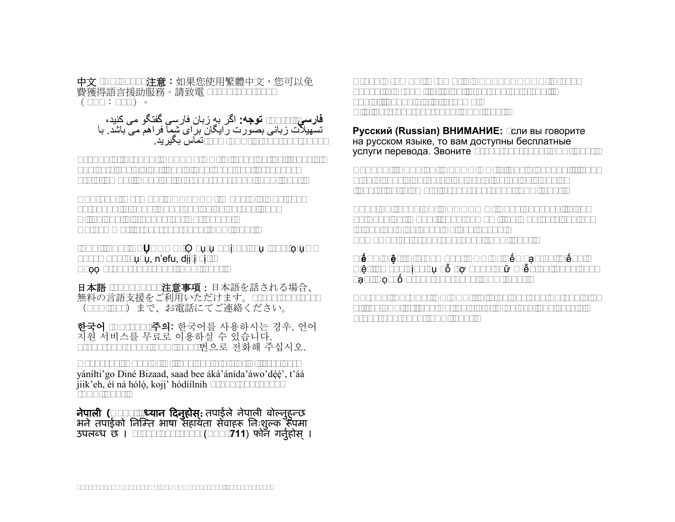中文 **(Chinese)** 注意:如果您使用繁體中文,您可以免 費獲得語言援助服務。請致電 **1-800-632-9700** (TTY:**711**)。

**فارسی (Farsi) <b>توجه:** اگر به زبان فارسی گفتگو می کنید،<br>تسهیلات زبانی بصورت رایگان برای شما فراهم می باشد. با  **1-800-632-9700** (TTY: **711**(تمبس بڰيريد.

**Français (French) ATTENTION:** Si vous parlez français, des services d'aide linguistique vous sont proposés gratuitement. Appelez le **1-800-632-9700** (TTY: **711**).

**Deutsch (German) ACHTUNG:** Wenn Sie Deutsch sprechen, stehen Ihnen kostenlos sprachliche Hilfsdienstleistungen zur Verfügung. Rufnummer: **1-800-632-9700** (TTY: **711**).

**Igbo (Igbo) NRUBAMA: ○** buru na i na asu Igbo, oru□□ enyemaka asusu, n'efu, diiri gi.  $\square$ Kpọọ **1-800-632-9700** (TTY: **711**).

日本語 **(Japanese)** 注意事項:日本語を話される場合、 無料の言語支援をご利用いただけます。**1-800-632-9700** (TTY: **711**)まで、お電話にてご連絡ください。

한국어 **(Korean)** 주의: 한국어를 사용하시는 경우, 언어 지원 서비스를 무료로 이용하실 수 있습니다. **1-800-632-9700** (TTY: **711**) 번으로 전화해 주십시오.

**Naabeehó (Navajo) Díí baa akó nínízin:** Díí saad bee yáníłti'go Diné Bizaad, saad bee áká'ánída'áwo'déé', t'áá ̖ ̖ jiik'eh, éí ná hóló, koji' hódíílnih **1-800-632-9700**  ̖ ̖ (TTY: **711**).

**नेपाली (Nepali) ध्यान दिनुहोस:** तपाईले नेपाली बोल्नुहुन्छ **नेपाली (Nepali) ध्यान दिनुहोस्:** तपाईले नेपाली बोल्नुहुन्छ<br>भने तपाईको निम्ति भाषा सहायता सेवाहरू निःशुल्क रूपमा उपलब्ध छ । **1-800-632-9700** (TTY: **711**) फोन गर्नुहोस् । े **Afaan Oromoo (Oromo) XIYYEEFFANNAA:** Afaan dubbattu Oroomiffa, tajaajila gargaarsa afaanii, kanfaltiidhaan ala, ni argama. Bilbilaa **1-800-632-9700** (TTY: **711**).

**Pусский (Russian) ВНИМАНИЕ:** eсли вы говорите на русском языке, то вам доступны бесплатные услуги перевода. Звоните **1-800-632-9700** (TTY: **711**).

**Español (Spanish) ATENCIÓN:** si habla español, tiene a su disposición servicios gratuitos de asistencia lingüística. Llame al **1-800-632-9700** (TTY: **711**).

**Tagalog (Tagalog) PAUNAWA:** Kung nagsasalita ka ng Tagalog, maaari kang gumamit ng mga serbisyo ng tulong sa wika nang walang bayad. Tumawag sa **1-800-632-9700** (TTY: **711**).

**Tiếng Việt (Vietnamese) CHÚ Ý:** Nếu bạn nói Tiếng Việt, có các dịch vụ hỗ trợ ngôn ngữ miễn phí dành cho□ bạn. Gọi số **1-800-632-9700** (TTY: **711**).

**Yorùbá (Yoruba) AKIYESI:** Ti o ba nso ede Yoruba ofe ni iranlowo lori ede wa fun yin o. E pe ero ibanisoro yi **1-800-632-9700** (TTY: **711**).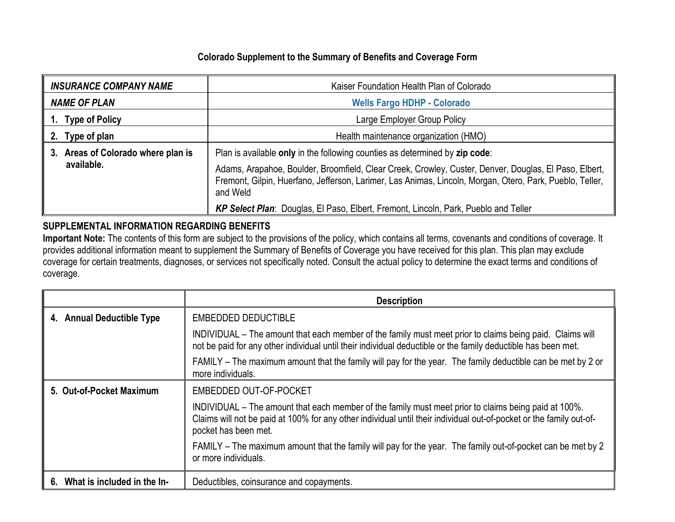# **Colorado Supplement to the Summary of Benefits and Coverage Form**

| <b>INSURANCE COMPANY NAME</b>      | Kaiser Foundation Health Plan of Colorado                                                                                                                                                                                     |  |  |
|------------------------------------|-------------------------------------------------------------------------------------------------------------------------------------------------------------------------------------------------------------------------------|--|--|
| <b>NAME OF PLAN</b>                | <b>Wells Fargo HDHP - Colorado</b>                                                                                                                                                                                            |  |  |
| 1. Type of Policy                  | Large Employer Group Policy                                                                                                                                                                                                   |  |  |
| 2. Type of plan                    | Health maintenance organization (HMO)                                                                                                                                                                                         |  |  |
| 3. Areas of Colorado where plan is | Plan is available only in the following counties as determined by zip code:                                                                                                                                                   |  |  |
| available.                         | Adams, Arapahoe, Boulder, Broomfield, Clear Creek, Crowley, Custer, Denver, Douglas, El Paso, Elbert,<br>Fremont, Gilpin, Huerfano, Jefferson, Larimer, Las Animas, Lincoln, Morgan, Otero, Park, Pueblo, Teller,<br>and Weld |  |  |
|                                    | KP Select Plan: Douglas, El Paso, Elbert, Fremont, Lincoln, Park, Pueblo and Teller                                                                                                                                           |  |  |

## **SUPPLEMENTAL INFORMATION REGARDING BENEFITS**

**Important Note:** The contents of this form are subject to the provisions of the policy, which contains all terms, covenants and conditions of coverage. It provides additional information meant to supplement the Summary of Benefits of Coverage you have received for this plan. This plan may exclude coverage for certain treatments, diagnoses, or services not specifically noted. Consult the actual policy to determine the exact terms and conditions of coverage.

|                                | <b>Description</b>                                                                                                                                                                                                                                  |  |  |
|--------------------------------|-----------------------------------------------------------------------------------------------------------------------------------------------------------------------------------------------------------------------------------------------------|--|--|
| 4. Annual Deductible Type      | <b>EMBEDDED DEDUCTIBLE</b>                                                                                                                                                                                                                          |  |  |
|                                | INDIVIDUAL – The amount that each member of the family must meet prior to claims being paid. Claims will<br>not be paid for any other individual until their individual deductible or the family deductible has been met.                           |  |  |
|                                | FAMILY - The maximum amount that the family will pay for the year. The family deductible can be met by 2 or<br>more individuals.                                                                                                                    |  |  |
| 5. Out-of-Pocket Maximum       | EMBEDDED OUT-OF-POCKET                                                                                                                                                                                                                              |  |  |
|                                | INDIVIDUAL – The amount that each member of the family must meet prior to claims being paid at 100%.<br>Claims will not be paid at 100% for any other individual until their individual out-of-pocket or the family out-of-<br>pocket has been met. |  |  |
|                                | FAMILY – The maximum amount that the family will pay for the year. The family out-of-pocket can be met by 2<br>or more individuals.                                                                                                                 |  |  |
| 6. What is included in the In- | Deductibles, coinsurance and copayments.                                                                                                                                                                                                            |  |  |